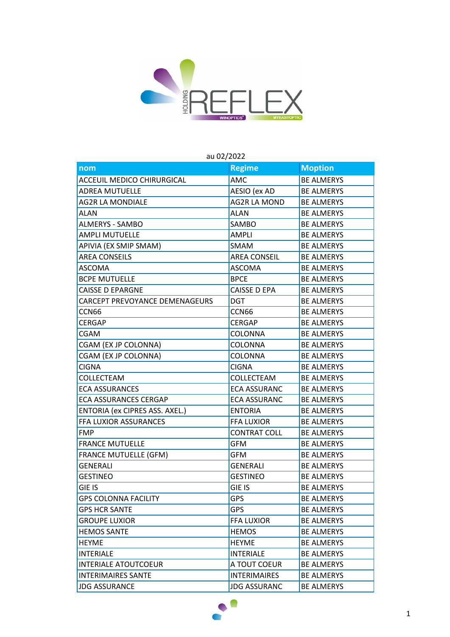

## **nom Regime** Moption ACCEUIL MEDICO CHIRURGICAL AMC BE ALMERYS ADREA MUTUELLE AESIO (ex AD BE ALMERYS AG2R LA MONDIALE AG2R LA MOND BE ALMERYS ALAN ALAN BE ALMERYS ALMERYS - SAMBO SAMBO SAMBO BE ALMERYS AMPLI MUTUELLE **AMPLI** BE ALMERYS APIVIA (EX SMIP SMAM) SMAM BE ALMERYS AREA CONSEILS **AREA CONSEIL** BE ALMERYS ASCOMA ASCOMA **BE ALMERYS** BCPE MUTUELLE **BROOK** BPCE **BE ALMERYS** CAISSE D EPARGNE CAISSE D EPA BE ALMERYS CARCEPT PREVOYANCE DEMENAGEURS | DGT | BE ALMERYS CCN66 BE ALMERYS CERGAP **CERGAP** BE ALMERYS CGAM COLONNA BE ALMERYS CGAM (EX JP COLONNA) COLONNA BE ALMERYS CGAM (EX JP COLONNA) COLONNA BE ALMERYS CIGNA CIGNA BE ALMERYS COLLECTEAM COLLECTEAM BE ALMERYS ECA ASSURANCES ECA ASSURANC BE ALMERYS ECA ASSURANCES CERGAP **ECA ASSURANC** BE ALMERYS ENTORIA (ex CIPRES ASS. AXEL.) ENTORIA BE ALMERYS FFA LUXIOR ASSURANCES FFA LUXIOR BE ALMERYS FMP CONTRAT COLL BE ALMERYS FRANCE MUTUELLE GEM GFM BE ALMERYS FRANCE MUTUELLE (GFM) GFM BE ALMERYS GENERALI GENERALI BE ALMERYS GESTINEO **GESTINEO BE ALMERYS** GIE IS GIE IS BE ALMERYS GPS COLONNA FACILITY GPS GPS GERALMERYS GPS HCR SANTE GPS GPS BE ALMERYS GROUPE LUXIOR FFA LUXIOR BE ALMERYS HEMOS SANTE **HEMOS** BE ALMERYS HEYME RETAINING RESERVE BE ALMERYS INTERIALE **INTERIALE INTERIALE INTERIALE** INTERIALE ATOUTCOEUR **A TOUT COEUR** BE ALMERYS INTERIMAIRES SANTE **INTERIMAIRES** BE ALMERYS JDG ASSURANCE JDG ASSURANC BE ALMERYS

## au 02/2022

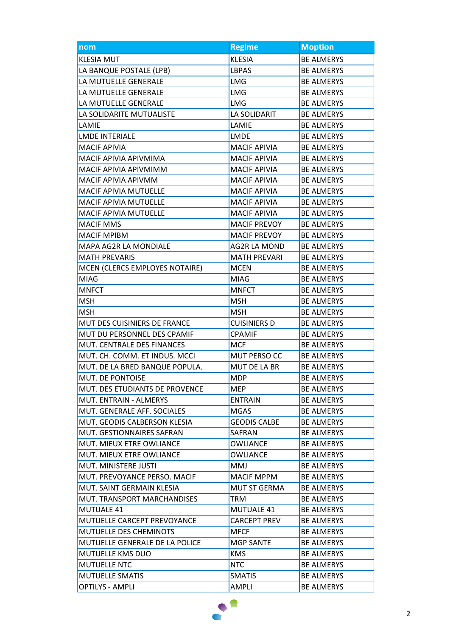| nom                              | <b>Regime</b>       | <b>Moption</b>    |
|----------------------------------|---------------------|-------------------|
| <b>KLESIA MUT</b>                | <b>KLESIA</b>       | <b>BE ALMERYS</b> |
| LA BANQUE POSTALE (LPB)          | <b>LBPAS</b>        | <b>BE ALMERYS</b> |
| LA MUTUELLE GENERALE             | <b>LMG</b>          | <b>BE ALMERYS</b> |
| LA MUTUELLE GENERALE             | <b>LMG</b>          | <b>BE ALMERYS</b> |
| LA MUTUELLE GENERALE             | <b>LMG</b>          | <b>BE ALMERYS</b> |
| LA SOLIDARITE MUTUALISTE         | LA SOLIDARIT        | <b>BE ALMERYS</b> |
| LAMIE                            | LAMIE               | <b>BE ALMERYS</b> |
| <b>LMDE INTERIALE</b>            | <b>LMDE</b>         | <b>BE ALMERYS</b> |
| <b>MACIF APIVIA</b>              | <b>MACIF APIVIA</b> | <b>BE ALMERYS</b> |
| MACIF APIVIA APIVMIMA            | <b>MACIF APIVIA</b> | <b>BE ALMERYS</b> |
| MACIF APIVIA APIVMIMM            | <b>MACIF APIVIA</b> | <b>BE ALMERYS</b> |
| MACIF APIVIA APIVMM              | <b>MACIF APIVIA</b> | <b>BE ALMERYS</b> |
| MACIF APIVIA MUTUELLE            | <b>MACIF APIVIA</b> | <b>BE ALMERYS</b> |
| <b>MACIF APIVIA MUTUELLE</b>     | <b>MACIF APIVIA</b> | <b>BE ALMERYS</b> |
| <b>MACIF APIVIA MUTUELLE</b>     | <b>MACIF APIVIA</b> | <b>BE ALMERYS</b> |
| <b>MACIF MMS</b>                 | <b>MACIF PREVOY</b> | <b>BE ALMERYS</b> |
| <b>MACIF MPIBM</b>               | <b>MACIF PREVOY</b> | <b>BE ALMERYS</b> |
| MAPA AG2R LA MONDIALE            | AG2R LA MOND        | <b>BE ALMERYS</b> |
| <b>MATH PREVARIS</b>             | <b>MATH PREVARI</b> | <b>BE ALMERYS</b> |
| MCEN (CLERCS EMPLOYES NOTAIRE)   | <b>MCEN</b>         | <b>BE ALMERYS</b> |
| <b>MIAG</b>                      | <b>MIAG</b>         | <b>BE ALMERYS</b> |
| <b>MNFCT</b>                     | <b>MNFCT</b>        | <b>BE ALMERYS</b> |
| <b>MSH</b>                       | <b>MSH</b>          | <b>BE ALMERYS</b> |
| <b>MSH</b>                       | <b>MSH</b>          | <b>BE ALMERYS</b> |
| MUT DES CUISINIERS DE FRANCE     | <b>CUISINIERS D</b> | <b>BE ALMERYS</b> |
| MUT DU PERSONNEL DES CPAMIF      | <b>CPAMIF</b>       | <b>BE ALMERYS</b> |
| MUT. CENTRALE DES FINANCES       | <b>MCF</b>          | <b>BE ALMERYS</b> |
| MUT. CH. COMM. ET INDUS. MCCI    | MUT PERSO CC        | <b>BE ALMERYS</b> |
| MUT. DE LA BRED BANQUE POPULA.   | <b>MUT DE LA BR</b> | <b>BE ALMERYS</b> |
| MUT. DE PONTOISE                 | <b>MDP</b>          | <b>BE ALMERYS</b> |
| MUT. DES ETUDIANTS DE PROVENCE   | <b>MEP</b>          | <b>BE ALMERYS</b> |
| <b>MUT. ENTRAIN - ALMERYS</b>    | <b>ENTRAIN</b>      | <b>BE ALMERYS</b> |
| MUT. GENERALE AFF. SOCIALES      | <b>MGAS</b>         | <b>BE ALMERYS</b> |
| MUT. GEODIS CALBERSON KLESIA     | <b>GEODIS CALBE</b> | <b>BE ALMERYS</b> |
| <b>MUT. GESTIONNAIRES SAFRAN</b> | SAFRAN              | <b>BE ALMERYS</b> |
| MUT. MIEUX ETRE OWLIANCE         | OWLIANCE            | <b>BE ALMERYS</b> |
| MUT. MIEUX ETRE OWLIANCE         | <b>OWLIANCE</b>     | <b>BE ALMERYS</b> |
| MUT. MINISTERE JUSTI             | MMJ                 | <b>BE ALMERYS</b> |
| MUT. PREVOYANCE PERSO. MACIF     | <b>MACIF MPPM</b>   | <b>BE ALMERYS</b> |
| MUT. SAINT GERMAIN KLESIA        | MUT ST GERMA        | <b>BE ALMERYS</b> |
| MUT. TRANSPORT MARCHANDISES      | TRM                 | <b>BE ALMERYS</b> |
| <b>MUTUALE 41</b>                | <b>MUTUALE 41</b>   | <b>BE ALMERYS</b> |
| MUTUELLE CARCEPT PREVOYANCE      | <b>CARCEPT PREV</b> | <b>BE ALMERYS</b> |
| MUTUELLE DES CHEMINOTS           | <b>MFCF</b>         | <b>BE ALMERYS</b> |
| MUTUELLE GENERALE DE LA POLICE   | <b>MGP SANTE</b>    | <b>BE ALMERYS</b> |
| MUTUELLE KMS DUO                 | <b>KMS</b>          | <b>BE ALMERYS</b> |
| <b>MUTUELLE NTC</b>              | NTC                 | <b>BE ALMERYS</b> |
| <b>MUTUELLE SMATIS</b>           | <b>SMATIS</b>       | <b>BE ALMERYS</b> |
| <b>OPTILYS - AMPLI</b>           | AMPLI               | <b>BE ALMERYS</b> |

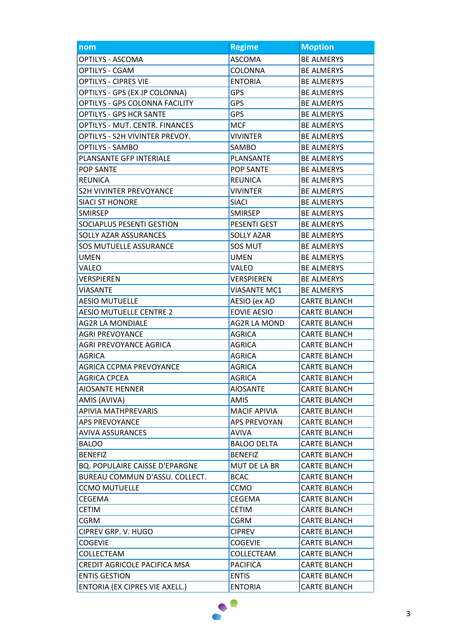| nom                                   | <b>Regime</b>       | <b>Moption</b>      |
|---------------------------------------|---------------------|---------------------|
| OPTILYS - ASCOMA                      | <b>ASCOMA</b>       | <b>BE ALMERYS</b>   |
| <b>OPTILYS - CGAM</b>                 | <b>COLONNA</b>      | <b>BE ALMERYS</b>   |
| <b>OPTILYS - CIPRES VIE</b>           | <b>ENTORIA</b>      | <b>BE ALMERYS</b>   |
| OPTILYS - GPS (EX JP COLONNA)         | <b>GPS</b>          | <b>BE ALMERYS</b>   |
| OPTILYS - GPS COLONNA FACILITY        | <b>GPS</b>          | <b>BE ALMERYS</b>   |
| <b>OPTILYS - GPS HCR SANTE</b>        | GPS                 | <b>BE ALMERYS</b>   |
| OPTILYS - MUT. CENTR. FINANCES        | <b>MCF</b>          | <b>BE ALMERYS</b>   |
| OPTILYS - S2H VIVINTER PREVOY.        | <b>VIVINTER</b>     | <b>BE ALMERYS</b>   |
| <b>OPTILYS - SAMBO</b>                | SAMBO               | <b>BE ALMERYS</b>   |
| PLANSANTE GFP INTERIALE               | PLANSANTE           | <b>BE ALMERYS</b>   |
| <b>POP SANTE</b>                      | <b>POP SANTE</b>    | <b>BE ALMERYS</b>   |
| <b>REUNICA</b>                        | <b>REUNICA</b>      | <b>BE ALMERYS</b>   |
| <b>S2H VIVINTER PREVOYANCE</b>        | <b>VIVINTER</b>     | <b>BE ALMERYS</b>   |
| <b>SIACI ST HONORE</b>                | <b>SIACI</b>        | <b>BE ALMERYS</b>   |
| <b>SMIRSEP</b>                        | <b>SMIRSEP</b>      | <b>BE ALMERYS</b>   |
| SOCIAPLUS PESENTI GESTION             | PESENTI GEST        | <b>BE ALMERYS</b>   |
| SOLLY AZAR ASSURANCES                 | <b>SOLLY AZAR</b>   | <b>BE ALMERYS</b>   |
| SOS MUTUELLE ASSURANCE                | SOS MUT             | <b>BE ALMERYS</b>   |
| <b>UMEN</b>                           | <b>UMEN</b>         | <b>BE ALMERYS</b>   |
| VALEO                                 | VALEO               | <b>BE ALMERYS</b>   |
| VERSPIEREN                            | VERSPIEREN          | <b>BE ALMERYS</b>   |
| <b>VIASANTE</b>                       | <b>VIASANTE MC1</b> | <b>BE ALMERYS</b>   |
| <b>AESIO MUTUELLE</b>                 | AESIO (ex AD        | <b>CARTE BLANCH</b> |
| <b>AESIO MUTUELLE CENTRE 2</b>        | <b>EOVIE AESIO</b>  | <b>CARTE BLANCH</b> |
| <b>AG2R LA MONDIALE</b>               | <b>AG2R LA MOND</b> | <b>CARTE BLANCH</b> |
| <b>AGRI PREVOYANCE</b>                | <b>AGRICA</b>       | <b>CARTE BLANCH</b> |
| <b>AGRI PREVOYANCE AGRICA</b>         | <b>AGRICA</b>       | <b>CARTE BLANCH</b> |
| <b>AGRICA</b>                         | AGRICA              | <b>CARTE BLANCH</b> |
| <b>AGRICA CCPMA PREVOYANCE</b>        | <b>AGRICA</b>       | <b>CARTE BLANCH</b> |
| <b>AGRICA CPCEA</b>                   | <b>AGRICA</b>       | <b>CARTE BLANCH</b> |
| <b>AIOSANTE HENNER</b>                | <b>AIOSANTE</b>     | <b>CARTE BLANCH</b> |
| AMIS (AVIVA)                          | AMIS                | <b>CARTE BLANCH</b> |
| APIVIA MATHPREVARIS                   | <b>MACIF APIVIA</b> | <b>CARTE BLANCH</b> |
| <b>APS PREVOYANCE</b>                 | APS PREVOYAN        | <b>CARTE BLANCH</b> |
| <b>AVIVA ASSURANCES</b>               | AVIVA               | <b>CARTE BLANCH</b> |
| <b>BALOO</b>                          | <b>BALOO DELTA</b>  | <b>CARTE BLANCH</b> |
| <b>BENEFIZ</b>                        | <b>BENEFIZ</b>      | <b>CARTE BLANCH</b> |
| <b>BQ. POPULAIRE CAISSE D'EPARGNE</b> | MUT DE LA BR        | <b>CARTE BLANCH</b> |
| BUREAU COMMUN D'ASSU. COLLECT.        | <b>BCAC</b>         | <b>CARTE BLANCH</b> |
| <b>CCMO MUTUELLE</b>                  | <b>CCMO</b>         | <b>CARTE BLANCH</b> |
| CEGEMA                                | CEGEMA              | <b>CARTE BLANCH</b> |
| CETIM                                 | <b>CETIM</b>        | CARTE BLANCH        |
| CGRM                                  | <b>CGRM</b>         | <b>CARTE BLANCH</b> |
| CIPREV GRP. V. HUGO                   | <b>CIPREV</b>       | <b>CARTE BLANCH</b> |
| <b>COGEVIE</b>                        | <b>COGEVIE</b>      | CARTE BLANCH        |
| COLLECTEAM                            | COLLECTEAM          | CARTE BLANCH        |
| CREDIT AGRICOLE PACIFICA MSA          | <b>PACIFICA</b>     | <b>CARTE BLANCH</b> |
| <b>ENTIS GESTION</b>                  | <b>ENTIS</b>        | <b>CARTE BLANCH</b> |
| ENTORIA (EX CIPRES VIE AXELL.)        | <b>ENTORIA</b>      | CARTE BLANCH        |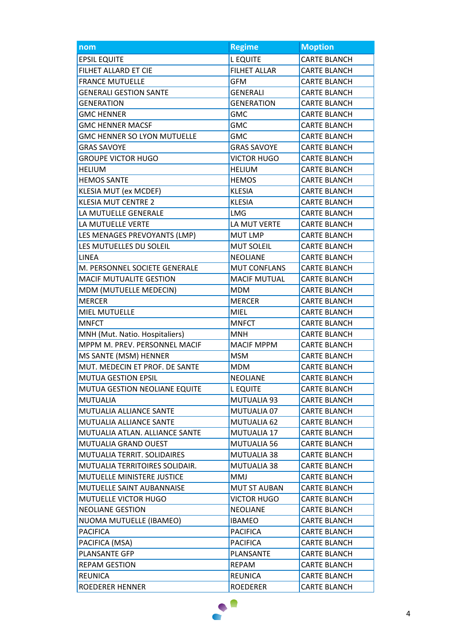| nom                                | <b>Regime</b>       | <b>Moption</b>      |
|------------------------------------|---------------------|---------------------|
| <b>EPSIL EQUITE</b>                | <b>LEQUITE</b>      | <b>CARTE BLANCH</b> |
| FILHET ALLARD ET CIE               | <b>FILHET ALLAR</b> | <b>CARTE BLANCH</b> |
| <b>FRANCE MUTUELLE</b>             | <b>GFM</b>          | <b>CARTE BLANCH</b> |
| <b>GENERALI GESTION SANTE</b>      | <b>GENERALI</b>     | <b>CARTE BLANCH</b> |
| <b>GENERATION</b>                  | <b>GENERATION</b>   | <b>CARTE BLANCH</b> |
| <b>GMC HENNER</b>                  | <b>GMC</b>          | <b>CARTE BLANCH</b> |
| <b>GMC HENNER MACSF</b>            | <b>GMC</b>          | <b>CARTE BLANCH</b> |
| <b>GMC HENNER SO LYON MUTUELLE</b> | <b>GMC</b>          | <b>CARTE BLANCH</b> |
| <b>GRAS SAVOYE</b>                 | <b>GRAS SAVOYE</b>  | <b>CARTE BLANCH</b> |
| <b>GROUPE VICTOR HUGO</b>          | <b>VICTOR HUGO</b>  | <b>CARTE BLANCH</b> |
| <b>HELIUM</b>                      | <b>HELIUM</b>       | <b>CARTE BLANCH</b> |
| <b>HEMOS SANTE</b>                 | <b>HEMOS</b>        | <b>CARTE BLANCH</b> |
| KLESIA MUT (ex MCDEF)              | <b>KLESIA</b>       | <b>CARTE BLANCH</b> |
| <b>KLESIA MUT CENTRE 2</b>         | <b>KLESIA</b>       | <b>CARTE BLANCH</b> |
| LA MUTUELLE GENERALE               | <b>LMG</b>          | <b>CARTE BLANCH</b> |
| LA MUTUELLE VERTE                  | LA MUT VERTE        | <b>CARTE BLANCH</b> |
| LES MENAGES PREVOYANTS (LMP)       | <b>MUT LMP</b>      | <b>CARTE BLANCH</b> |
| LES MUTUELLES DU SOLEIL            | <b>MUT SOLEIL</b>   | <b>CARTE BLANCH</b> |
| <b>LINEA</b>                       | <b>NEOLIANE</b>     | <b>CARTE BLANCH</b> |
| M. PERSONNEL SOCIETE GENERALE      | <b>MUT CONFLANS</b> | <b>CARTE BLANCH</b> |
| MACIF MUTUALITE GESTION            | <b>MACIF MUTUAL</b> | <b>CARTE BLANCH</b> |
| MDM (MUTUELLE MEDECIN)             | <b>MDM</b>          | <b>CARTE BLANCH</b> |
| <b>MERCER</b>                      | <b>MERCER</b>       | <b>CARTE BLANCH</b> |
| <b>MIEL MUTUELLE</b>               | <b>MIEL</b>         | <b>CARTE BLANCH</b> |
| <b>MNFCT</b>                       | <b>MNFCT</b>        | <b>CARTE BLANCH</b> |
| MNH (Mut. Natio. Hospitaliers)     | <b>MNH</b>          | <b>CARTE BLANCH</b> |
| MPPM M. PREV. PERSONNEL MACIF      | <b>MACIF MPPM</b>   | <b>CARTE BLANCH</b> |
| MS SANTE (MSM) HENNER              | <b>MSM</b>          | <b>CARTE BLANCH</b> |
| MUT. MEDECIN ET PROF. DE SANTE     | <b>MDM</b>          | <b>CARTE BLANCH</b> |
| MUTUA GESTION EPSIL                | NEOLIANE            | <b>CARTE BLANCH</b> |
| MUTUA GESTION NEOLIANE EQUITE      | <b>LEQUITE</b>      | <b>CARTE BLANCH</b> |
| <b>MUTUALIA</b>                    | MUTUALIA 93         | <b>CARTE BLANCH</b> |
| MUTUALIA ALLIANCE SANTE            | MUTUALIA 07         | <b>CARTE BLANCH</b> |
| MUTUALIA ALLIANCE SANTE            | MUTUALIA 62         | <b>CARTE BLANCH</b> |
| MUTUALIA ATLAN. ALLIANCE SANTE     | MUTUALIA 17         | <b>CARTE BLANCH</b> |
| MUTUALIA GRAND OUEST               | MUTUALIA 56         | <b>CARTE BLANCH</b> |
| MUTUALIA TERRIT. SOLIDAIRES        | MUTUALIA 38         | <b>CARTE BLANCH</b> |
| MUTUALIA TERRITOIRES SOLIDAIR.     | MUTUALIA 38         | <b>CARTE BLANCH</b> |
| <b>MUTUELLE MINISTERE JUSTICE</b>  | MMJ                 | <b>CARTE BLANCH</b> |
| MUTUELLE SAINT AUBANNAISE          | <b>MUT ST AUBAN</b> | <b>CARTE BLANCH</b> |
| MUTUELLE VICTOR HUGO               | VICTOR HUGO         | <b>CARTE BLANCH</b> |
| <b>NEOLIANE GESTION</b>            | <b>NEOLIANE</b>     | <b>CARTE BLANCH</b> |
| NUOMA MUTUELLE (IBAMEO)            | <b>IBAMEO</b>       | <b>CARTE BLANCH</b> |
| <b>PACIFICA</b>                    | <b>PACIFICA</b>     | <b>CARTE BLANCH</b> |
| PACIFICA (MSA)                     | <b>PACIFICA</b>     | CARTE BLANCH        |
| PLANSANTE GFP                      | PLANSANTE           | <b>CARTE BLANCH</b> |
| <b>REPAM GESTION</b>               | <b>REPAM</b>        | <b>CARTE BLANCH</b> |
| <b>REUNICA</b>                     | <b>REUNICA</b>      | <b>CARTE BLANCH</b> |
| ROEDERER HENNER                    | <b>ROEDERER</b>     | CARTE BLANCH        |

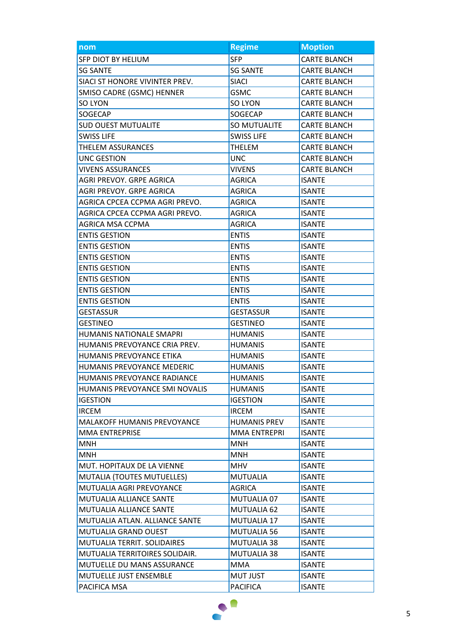| nom                                | <b>Regime</b>       | <b>Moption</b>      |
|------------------------------------|---------------------|---------------------|
| SFP DIOT BY HELIUM                 | <b>SFP</b>          | <b>CARTE BLANCH</b> |
| <b>SG SANTE</b>                    | <b>SG SANTE</b>     | <b>CARTE BLANCH</b> |
| SIACI ST HONORE VIVINTER PREV.     | <b>SIACI</b>        | <b>CARTE BLANCH</b> |
| SMISO CADRE (GSMC) HENNER          | <b>GSMC</b>         | <b>CARTE BLANCH</b> |
| SO LYON                            | SO LYON             | <b>CARTE BLANCH</b> |
| SOGECAP                            | SOGECAP             | <b>CARTE BLANCH</b> |
| <b>SUD OUEST MUTUALITE</b>         | SO MUTUALITE        | <b>CARTE BLANCH</b> |
| <b>SWISS LIFE</b>                  | <b>SWISS LIFE</b>   | <b>CARTE BLANCH</b> |
| <b>THELEM ASSURANCES</b>           | THELEM              | <b>CARTE BLANCH</b> |
| UNC GESTION                        | <b>UNC</b>          | <b>CARTE BLANCH</b> |
| <b>VIVENS ASSURANCES</b>           | <b>VIVENS</b>       | <b>CARTE BLANCH</b> |
| AGRI PREVOY. GRPE AGRICA           | <b>AGRICA</b>       | <b>ISANTE</b>       |
| AGRI PREVOY. GRPE AGRICA           | AGRICA              | <b>ISANTE</b>       |
| AGRICA CPCEA CCPMA AGRI PREVO.     | <b>AGRICA</b>       | <b>ISANTE</b>       |
| AGRICA CPCEA CCPMA AGRI PREVO.     | AGRICA              | <b>ISANTE</b>       |
| AGRICA MSA CCPMA                   | <b>AGRICA</b>       | <b>ISANTE</b>       |
| <b>ENTIS GESTION</b>               | <b>ENTIS</b>        | <b>ISANTE</b>       |
| <b>ENTIS GESTION</b>               | <b>ENTIS</b>        | <b>ISANTE</b>       |
| <b>ENTIS GESTION</b>               | <b>ENTIS</b>        | <b>ISANTE</b>       |
| <b>ENTIS GESTION</b>               | <b>ENTIS</b>        | <b>ISANTE</b>       |
| <b>ENTIS GESTION</b>               | <b>ENTIS</b>        | <b>ISANTE</b>       |
| <b>ENTIS GESTION</b>               | <b>ENTIS</b>        | <b>ISANTE</b>       |
| <b>ENTIS GESTION</b>               | <b>ENTIS</b>        | <b>ISANTE</b>       |
| <b>GESTASSUR</b>                   | <b>GESTASSUR</b>    | <b>ISANTE</b>       |
| GESTINEO                           | <b>GESTINEO</b>     | <b>ISANTE</b>       |
| <b>HUMANIS NATIONALE SMAPRI</b>    | <b>HUMANIS</b>      | <b>ISANTE</b>       |
| HUMANIS PREVOYANCE CRIA PREV.      | <b>HUMANIS</b>      | <b>ISANTE</b>       |
| HUMANIS PREVOYANCE ETIKA           | <b>HUMANIS</b>      | <b>ISANTE</b>       |
| HUMANIS PREVOYANCE MEDERIC         | <b>HUMANIS</b>      | <b>ISANTE</b>       |
| HUMANIS PREVOYANCE RADIANCE        | <b>HUMANIS</b>      | <b>ISANTE</b>       |
| HUMANIS PREVOYANCE SMI NOVALIS     | <b>HUMANIS</b>      | <b>ISANTE</b>       |
| <b>IGESTION</b>                    | <b>IGESTION</b>     | <b>ISANTE</b>       |
| <b>IRCEM</b>                       | <b>IRCEM</b>        | <b>ISANTE</b>       |
| <b>MALAKOFF HUMANIS PREVOYANCE</b> | <b>HUMANIS PREV</b> | <b>ISANTE</b>       |
| MMA ENTREPRISE                     | MMA ENTREPRI        | <b>ISANTE</b>       |
| MNH                                | MNH                 | <b>ISANTE</b>       |
| <b>MNH</b>                         | MNH                 | <b>ISANTE</b>       |
| MUT. HOPITAUX DE LA VIENNE         | <b>MHV</b>          | <b>ISANTE</b>       |
| MUTALIA (TOUTES MUTUELLES)         | <b>MUTUALIA</b>     | <b>ISANTE</b>       |
| MUTUALIA AGRI PREVOYANCE           | <b>AGRICA</b>       | <b>ISANTE</b>       |
| MUTUALIA ALLIANCE SANTE            | MUTUALIA 07         | <b>ISANTE</b>       |
| MUTUALIA ALLIANCE SANTE            | MUTUALIA 62         | <b>ISANTE</b>       |
| MUTUALIA ATLAN. ALLIANCE SANTE     | MUTUALIA 17         | <b>ISANTE</b>       |
| MUTUALIA GRAND OUEST               | MUTUALIA 56         | <b>ISANTE</b>       |
| MUTUALIA TERRIT. SOLIDAIRES        | MUTUALIA 38         | <b>ISANTE</b>       |
| MUTUALIA TERRITOIRES SOLIDAIR.     | MUTUALIA 38         | <b>ISANTE</b>       |
| <b>MUTUELLE DU MANS ASSURANCE</b>  | <b>MMA</b>          | <b>ISANTE</b>       |
| MUTUELLE JUST ENSEMBLE             | <b>MUT JUST</b>     | <b>ISANTE</b>       |
| PACIFICA MSA                       | <b>PACIFICA</b>     | <b>ISANTE</b>       |

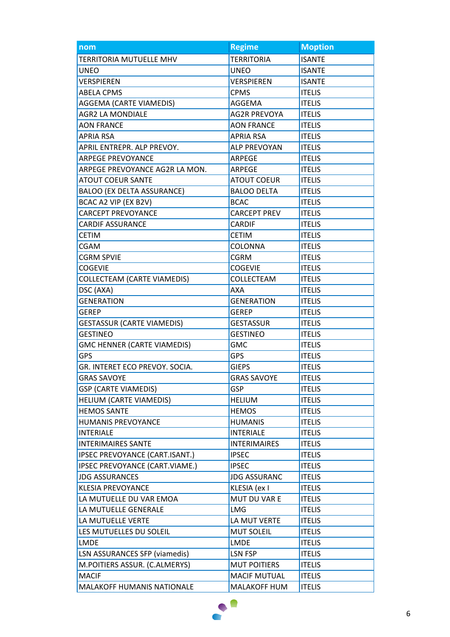| nom                                  | <b>Regime</b>       | <b>Moption</b> |
|--------------------------------------|---------------------|----------------|
| TERRITORIA MUTUELLE MHV              | <b>TERRITORIA</b>   | <b>ISANTE</b>  |
| <b>UNEO</b>                          | <b>UNEO</b>         | <b>ISANTE</b>  |
| <b>VERSPIEREN</b>                    | <b>VERSPIEREN</b>   | <b>ISANTE</b>  |
| <b>ABELA CPMS</b>                    | <b>CPMS</b>         | <b>ITELIS</b>  |
| AGGEMA (CARTE VIAMEDIS)              | AGGEMA              | <b>ITELIS</b>  |
| <b>AGR2 LA MONDIALE</b>              | <b>AG2R PREVOYA</b> | <b>ITELIS</b>  |
| <b>AON FRANCE</b>                    | <b>AON FRANCE</b>   | <b>ITELIS</b>  |
| <b>APRIA RSA</b>                     | APRIA RSA           | <b>ITELIS</b>  |
| APRIL ENTREPR. ALP PREVOY.           | <b>ALP PREVOYAN</b> | <b>ITELIS</b>  |
| <b>ARPEGE PREVOYANCE</b>             | ARPEGE              | <b>ITELIS</b>  |
| ARPEGE PREVOYANCE AG2R LA MON.       | ARPEGE              | <b>ITELIS</b>  |
| <b>ATOUT COEUR SANTE</b>             | <b>ATOUT COEUR</b>  | <b>ITELIS</b>  |
| <b>BALOO (EX DELTA ASSURANCE)</b>    | <b>BALOO DELTA</b>  | <b>ITELIS</b>  |
| BCAC A2 VIP (EX B2V)                 | <b>BCAC</b>         | <b>ITELIS</b>  |
| <b>CARCEPT PREVOYANCE</b>            | <b>CARCEPT PREV</b> | <b>ITELIS</b>  |
| <b>CARDIF ASSURANCE</b>              | <b>CARDIF</b>       | <b>ITELIS</b>  |
| <b>CETIM</b>                         | <b>CETIM</b>        | <b>ITELIS</b>  |
| CGAM                                 | COLONNA             | <b>ITELIS</b>  |
| <b>CGRM SPVIE</b>                    | <b>CGRM</b>         | <b>ITELIS</b>  |
| <b>COGEVIE</b>                       | <b>COGEVIE</b>      | <b>ITELIS</b>  |
| <b>COLLECTEAM (CARTE VIAMEDIS)</b>   | COLLECTEAM          | <b>ITELIS</b>  |
| DSC (AXA)                            | AXA                 | <b>ITELIS</b>  |
| <b>GENERATION</b>                    | <b>GENERATION</b>   | <b>ITELIS</b>  |
| <b>GEREP</b>                         | <b>GEREP</b>        | <b>ITELIS</b>  |
| <b>GESTASSUR (CARTE VIAMEDIS)</b>    | <b>GESTASSUR</b>    | <b>ITELIS</b>  |
| <b>GESTINEO</b>                      | <b>GESTINEO</b>     | <b>ITELIS</b>  |
| <b>GMC HENNER (CARTE VIAMEDIS)</b>   | GMC                 | <b>ITELIS</b>  |
| <b>GPS</b>                           | <b>GPS</b>          | <b>ITELIS</b>  |
| GR. INTERET ECO PREVOY. SOCIA.       | <b>GIEPS</b>        | <b>ITELIS</b>  |
| <b>GRAS SAVOYE</b>                   | <b>GRAS SAVOYE</b>  | <b>ITELIS</b>  |
| <b>GSP (CARTE VIAMEDIS)</b>          | <b>GSP</b>          | <b>ITELIS</b>  |
| HELIUM (CARTE VIAMEDIS)              | <b>HELIUM</b>       | <b>ITELIS</b>  |
| <b>HEMOS SANTE</b>                   | <b>HEMOS</b>        | <b>ITELIS</b>  |
| HUMANIS PREVOYANCE                   | <b>HUMANIS</b>      | <b>ITELIS</b>  |
| <b>INTERIALE</b>                     | <b>INTERIALE</b>    | <b>ITELIS</b>  |
| <b>INTERIMAIRES SANTE</b>            | <b>INTERIMAIRES</b> | <b>ITELIS</b>  |
| IPSEC PREVOYANCE (CART.ISANT.)       | <b>IPSEC</b>        | <b>ITELIS</b>  |
| IPSEC PREVOYANCE (CART.VIAME.)       | <b>IPSEC</b>        | <b>ITELIS</b>  |
| <b>JDG ASSURANCES</b>                | <b>JDG ASSURANC</b> | <b>ITELIS</b>  |
| <b>KLESIA PREVOYANCE</b>             | KLESIA (ex I        | <b>ITELIS</b>  |
| LA MUTUELLE DU VAR EMOA              | MUT DU VAR E        | <b>ITELIS</b>  |
| LA MUTUELLE GENERALE                 | <b>LMG</b>          | <b>ITELIS</b>  |
| LA MUTUELLE VERTE                    | LA MUT VERTE        | <b>ITELIS</b>  |
| LES MUTUELLES DU SOLEIL              | <b>MUT SOLEIL</b>   | <b>ITELIS</b>  |
| <b>LMDE</b>                          | <b>LMDE</b>         | <b>ITELIS</b>  |
| <b>LSN ASSURANCES SFP (viamedis)</b> | LSN FSP             | <b>ITELIS</b>  |
| M.POITIERS ASSUR. (C.ALMERYS)        | <b>MUT POITIERS</b> | <b>ITELIS</b>  |
| <b>MACIF</b>                         | <b>MACIF MUTUAL</b> | <b>ITELIS</b>  |
| MALAKOFF HUMANIS NATIONALE           | <b>MALAKOFF HUM</b> | <b>ITELIS</b>  |

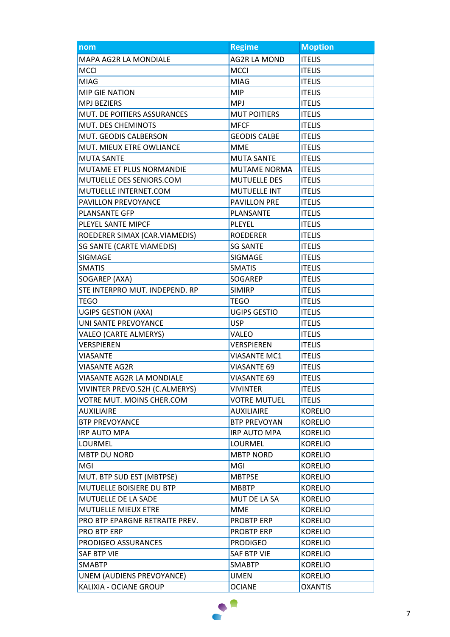| nom                            | <b>Regime</b>       | <b>Moption</b> |
|--------------------------------|---------------------|----------------|
| <b>MAPA AG2R LA MONDIALE</b>   | <b>AG2R LA MOND</b> | <b>ITELIS</b>  |
| <b>MCCI</b>                    | <b>MCCI</b>         | <b>ITELIS</b>  |
| <b>MIAG</b>                    | <b>MIAG</b>         | <b>ITELIS</b>  |
| <b>MIP GIE NATION</b>          | <b>MIP</b>          | <b>ITELIS</b>  |
| <b>MPJ BEZIERS</b>             | <b>MPJ</b>          | <b>ITELIS</b>  |
| MUT. DE POITIERS ASSURANCES    | <b>MUT POITIERS</b> | <b>ITELIS</b>  |
| MUT. DES CHEMINOTS             | <b>MFCF</b>         | <b>ITELIS</b>  |
| MUT. GEODIS CALBERSON          | <b>GEODIS CALBE</b> | <b>ITELIS</b>  |
| MUT. MIEUX ETRE OWLIANCE       | <b>MME</b>          | <b>ITELIS</b>  |
| <b>MUTA SANTE</b>              | <b>MUTA SANTE</b>   | <b>ITELIS</b>  |
| MUTAME ET PLUS NORMANDIE       | <b>MUTAME NORMA</b> | <b>ITELIS</b>  |
| MUTUELLE DES SENIORS.COM       | <b>MUTUELLE DES</b> | <b>ITELIS</b>  |
| MUTUELLE INTERNET.COM          | <b>MUTUELLE INT</b> | <b>ITELIS</b>  |
| PAVILLON PREVOYANCE            | <b>PAVILLON PRE</b> | <b>ITELIS</b>  |
| PLANSANTE GFP                  | PLANSANTE           | <b>ITELIS</b>  |
| PLEYEL SANTE MIPCF             | PLEYEL              | <b>ITELIS</b>  |
| ROEDERER SIMAX (CAR.VIAMEDIS)  | <b>ROEDERER</b>     | <b>ITELIS</b>  |
| SG SANTE (CARTE VIAMEDIS)      | <b>SG SANTE</b>     | <b>ITELIS</b>  |
| SIGMAGE                        | SIGMAGE             | <b>ITELIS</b>  |
| <b>SMATIS</b>                  | <b>SMATIS</b>       | <b>ITELIS</b>  |
| SOGAREP (AXA)                  | SOGAREP             | <b>ITELIS</b>  |
| STE INTERPRO MUT. INDEPEND. RP | <b>SIMIRP</b>       | <b>ITELIS</b>  |
| TEGO                           | TEGO                | <b>ITELIS</b>  |
| <b>UGIPS GESTION (AXA)</b>     | <b>UGIPS GESTIO</b> | <b>ITELIS</b>  |
| UNI SANTE PREVOYANCE           | <b>USP</b>          | <b>ITELIS</b>  |
| <b>VALEO (CARTE ALMERYS)</b>   | VALEO               | <b>ITELIS</b>  |
| VERSPIEREN                     | VERSPIEREN          | <b>ITELIS</b>  |
| <b>VIASANTE</b>                | VIASANTE MC1        | <b>ITELIS</b>  |
| <b>VIASANTE AG2R</b>           | <b>VIASANTE 69</b>  | <b>ITELIS</b>  |
| VIASANTE AG2R LA MONDIALE      | <b>VIASANTE 69</b>  | <b>ITELIS</b>  |
| VIVINTER PREVO.S2H (C.ALMERYS) | <b>VIVINTER</b>     | <b>ITELIS</b>  |
| VOTRE MUT. MOINS CHER.COM      | <b>VOTRE MUTUEL</b> | <b>ITELIS</b>  |
| <b>AUXILIAIRE</b>              | <b>AUXILIAIRE</b>   | <b>KORELIO</b> |
| <b>BTP PREVOYANCE</b>          | <b>BTP PREVOYAN</b> | <b>KORELIO</b> |
| <b>IRP AUTO MPA</b>            | IRP AUTO MPA        | <b>KORELIO</b> |
| LOURMEL                        | LOURMEL             | <b>KORELIO</b> |
| <b>MBTP DU NORD</b>            | <b>MBTP NORD</b>    | <b>KORELIO</b> |
| MGI                            | MGI                 | <b>KORELIO</b> |
| MUT. BTP SUD EST (MBTPSE)      | <b>MBTPSE</b>       | <b>KORELIO</b> |
| MUTUELLE BOISIERE DU BTP       | <b>MBBTP</b>        | <b>KORELIO</b> |
| MUTUELLE DE LA SADE            | MUT DE LA SA        | <b>KORELIO</b> |
| MUTUELLE MIEUX ETRE            | <b>MME</b>          | <b>KORELIO</b> |
| PRO BTP EPARGNE RETRAITE PREV. | <b>PROBTP ERP</b>   | <b>KORELIO</b> |
| PRO BTP ERP                    | <b>PROBTP ERP</b>   | <b>KORELIO</b> |
| PRODIGEO ASSURANCES            | <b>PRODIGEO</b>     | <b>KORELIO</b> |
| SAF BTP VIE                    | SAF BTP VIE         | <b>KORELIO</b> |
| <b>SMABTP</b>                  | <b>SMABTP</b>       | <b>KORELIO</b> |
| UNEM (AUDIENS PREVOYANCE)      | <b>UMEN</b>         | <b>KORELIO</b> |
| KALIXIA - OCIANE GROUP         | <b>OCIANE</b>       | <b>OXANTIS</b> |

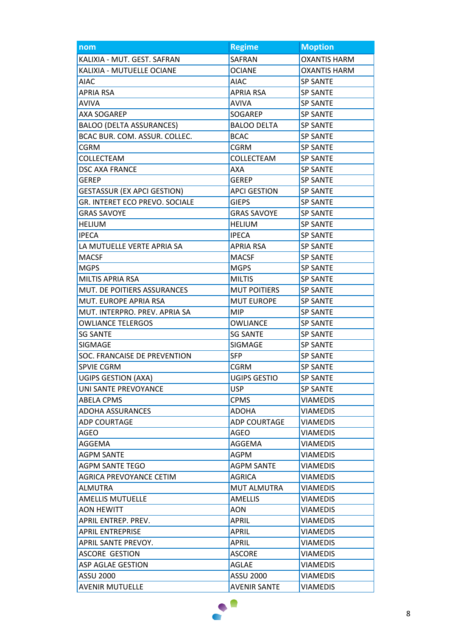| nom                                | <b>Regime</b>       | <b>Moption</b>      |
|------------------------------------|---------------------|---------------------|
| KALIXIA - MUT. GEST. SAFRAN        | SAFRAN              | <b>OXANTIS HARM</b> |
| KALIXIA - MUTUELLE OCIANE          | <b>OCIANE</b>       | <b>OXANTIS HARM</b> |
| <b>AIAC</b>                        | <b>AIAC</b>         | <b>SP SANTE</b>     |
| <b>APRIA RSA</b>                   | <b>APRIA RSA</b>    | <b>SP SANTE</b>     |
| <b>AVIVA</b>                       | <b>AVIVA</b>        | <b>SP SANTE</b>     |
| AXA SOGAREP                        | SOGAREP             | <b>SP SANTE</b>     |
| <b>BALOO (DELTA ASSURANCES)</b>    | <b>BALOO DELTA</b>  | <b>SP SANTE</b>     |
| BCAC BUR. COM. ASSUR. COLLEC.      | <b>BCAC</b>         | <b>SP SANTE</b>     |
| <b>CGRM</b>                        | <b>CGRM</b>         | <b>SP SANTE</b>     |
| COLLECTEAM                         | COLLECTEAM          | <b>SP SANTE</b>     |
| <b>DSC AXA FRANCE</b>              | AXA                 | <b>SP SANTE</b>     |
| <b>GEREP</b>                       | <b>GEREP</b>        | <b>SP SANTE</b>     |
| <b>GESTASSUR (EX APCI GESTION)</b> | <b>APCI GESTION</b> | <b>SP SANTE</b>     |
| GR. INTERET ECO PREVO. SOCIALE     | <b>GIEPS</b>        | <b>SP SANTE</b>     |
| <b>GRAS SAVOYE</b>                 | <b>GRAS SAVOYE</b>  | <b>SP SANTE</b>     |
| <b>HELIUM</b>                      | <b>HELIUM</b>       | <b>SP SANTE</b>     |
| <b>IPECA</b>                       | <b>IPECA</b>        | <b>SP SANTE</b>     |
| LA MUTUELLE VERTE APRIA SA         | <b>APRIA RSA</b>    | <b>SP SANTE</b>     |
| <b>MACSF</b>                       | <b>MACSF</b>        | <b>SP SANTE</b>     |
| <b>MGPS</b>                        | <b>MGPS</b>         | <b>SP SANTE</b>     |
| <b>MILTIS APRIA RSA</b>            | <b>MILTIS</b>       | <b>SP SANTE</b>     |
| MUT. DE POITIERS ASSURANCES        | <b>MUT POITIERS</b> | <b>SP SANTE</b>     |
| MUT. EUROPE APRIA RSA              | <b>MUT EUROPE</b>   | <b>SP SANTE</b>     |
| MUT. INTERPRO. PREV. APRIA SA      | <b>MIP</b>          | <b>SP SANTE</b>     |
| <b>OWLIANCE TELERGOS</b>           | OWLIANCE            | <b>SP SANTE</b>     |
| <b>SG SANTE</b>                    | <b>SG SANTE</b>     | <b>SP SANTE</b>     |
| SIGMAGE                            | SIGMAGE             | <b>SP SANTE</b>     |
| SOC. FRANCAISE DE PREVENTION       | <b>SFP</b>          | <b>SP SANTE</b>     |
| <b>SPVIE CGRM</b>                  | <b>CGRM</b>         | <b>SP SANTE</b>     |
| UGIPS GESTION (AXA)                | UGIPS GESTIO        | <b>SP SANTE</b>     |
| UNI SANTE PREVOYANCE               | <b>USP</b>          | <b>SP SANTE</b>     |
| ABELA CPMS                         | <b>CPMS</b>         | <b>VIAMEDIS</b>     |
| <b>ADOHA ASSURANCES</b>            | <b>ADOHA</b>        | <b>VIAMEDIS</b>     |
| <b>ADP COURTAGE</b>                | <b>ADP COURTAGE</b> | <b>VIAMEDIS</b>     |
| AGEO                               | AGEO                | <b>VIAMEDIS</b>     |
| AGGEMA                             | AGGEMA              | <b>VIAMEDIS</b>     |
| <b>AGPM SANTE</b>                  | AGPM                | <b>VIAMEDIS</b>     |
| <b>AGPM SANTE TEGO</b>             | <b>AGPM SANTE</b>   | <b>VIAMEDIS</b>     |
| AGRICA PREVOYANCE CETIM            | AGRICA              | <b>VIAMEDIS</b>     |
| <b>ALMUTRA</b>                     | <b>MUT ALMUTRA</b>  | <b>VIAMEDIS</b>     |
| <b>AMELLIS MUTUELLE</b>            | <b>AMELLIS</b>      | <b>VIAMEDIS</b>     |
| <b>AON HEWITT</b>                  | <b>AON</b>          | <b>VIAMEDIS</b>     |
| APRIL ENTREP. PREV.                | <b>APRIL</b>        | <b>VIAMEDIS</b>     |
| <b>APRIL ENTREPRISE</b>            | APRIL               | <b>VIAMEDIS</b>     |
| APRIL SANTE PREVOY.                | <b>APRIL</b>        | <b>VIAMEDIS</b>     |
| <b>ASCORE GESTION</b>              | <b>ASCORE</b>       | <b>VIAMEDIS</b>     |
| <b>ASP AGLAE GESTION</b>           | AGLAE               | <b>VIAMEDIS</b>     |
| ASSU 2000                          | <b>ASSU 2000</b>    | <b>VIAMEDIS</b>     |
| <b>AVENIR MUTUELLE</b>             | <b>AVENIR SANTE</b> | <b>VIAMEDIS</b>     |

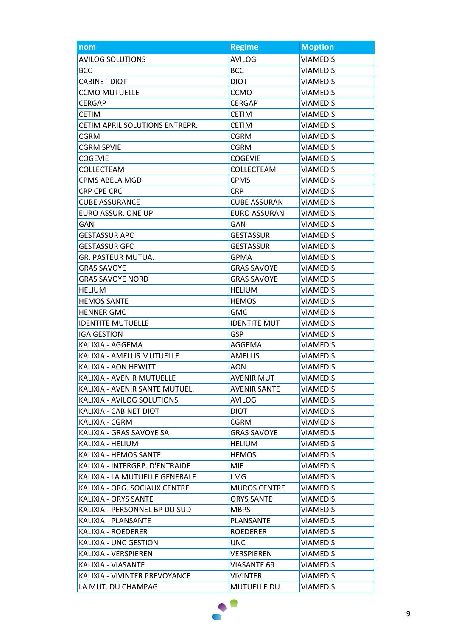| nom                            | <b>Regime</b>       | <b>Moption</b>  |
|--------------------------------|---------------------|-----------------|
| <b>AVILOG SOLUTIONS</b>        | <b>AVILOG</b>       | <b>VIAMEDIS</b> |
| <b>BCC</b>                     | <b>BCC</b>          | <b>VIAMEDIS</b> |
| <b>CABINET DIOT</b>            | <b>DIOT</b>         | <b>VIAMEDIS</b> |
| <b>CCMO MUTUELLE</b>           | <b>CCMO</b>         | <b>VIAMEDIS</b> |
| <b>CERGAP</b>                  | <b>CERGAP</b>       | <b>VIAMEDIS</b> |
| <b>CETIM</b>                   | <b>CETIM</b>        | <b>VIAMEDIS</b> |
| CETIM APRIL SOLUTIONS ENTREPR. | <b>CETIM</b>        | <b>VIAMEDIS</b> |
| <b>CGRM</b>                    | <b>CGRM</b>         | <b>VIAMEDIS</b> |
| <b>CGRM SPVIE</b>              | <b>CGRM</b>         | <b>VIAMEDIS</b> |
| <b>COGEVIE</b>                 | <b>COGEVIE</b>      | <b>VIAMEDIS</b> |
| COLLECTEAM                     | COLLECTEAM          | <b>VIAMEDIS</b> |
| CPMS ABELA MGD                 | <b>CPMS</b>         | <b>VIAMEDIS</b> |
| CRP CPE CRC                    | <b>CRP</b>          | <b>VIAMEDIS</b> |
| <b>CUBE ASSURANCE</b>          | <b>CUBE ASSURAN</b> | <b>VIAMEDIS</b> |
| EURO ASSUR. ONE UP             | <b>EURO ASSURAN</b> | <b>VIAMEDIS</b> |
| <b>GAN</b>                     | <b>GAN</b>          | <b>VIAMEDIS</b> |
| <b>GESTASSUR APC</b>           | <b>GESTASSUR</b>    | <b>VIAMEDIS</b> |
| <b>GESTASSUR GFC</b>           | <b>GESTASSUR</b>    | <b>VIAMEDIS</b> |
| GR. PASTEUR MUTUA.             | <b>GPMA</b>         | <b>VIAMEDIS</b> |
| <b>GRAS SAVOYE</b>             | <b>GRAS SAVOYE</b>  | <b>VIAMEDIS</b> |
| <b>GRAS SAVOYE NORD</b>        | <b>GRAS SAVOYE</b>  | <b>VIAMEDIS</b> |
| <b>HELIUM</b>                  | <b>HELIUM</b>       | <b>VIAMEDIS</b> |
| <b>HEMOS SANTE</b>             | <b>HEMOS</b>        | <b>VIAMEDIS</b> |
| <b>HENNER GMC</b>              | <b>GMC</b>          | <b>VIAMEDIS</b> |
| <b>IDENTITE MUTUELLE</b>       | <b>IDENTITE MUT</b> | <b>VIAMEDIS</b> |
| <b>IGA GESTION</b>             | <b>GSP</b>          | <b>VIAMEDIS</b> |
| KALIXIA - AGGEMA               | AGGEMA              | <b>VIAMEDIS</b> |
| KALIXIA - AMELLIS MUTUELLE     | <b>AMELLIS</b>      | <b>VIAMEDIS</b> |
| KALIXIA - AON HEWITT           | <b>AON</b>          | <b>VIAMEDIS</b> |
| KALIXIA - AVENIR MUTUELLE      | AVENIR MUT          | <b>VIAMEDIS</b> |
| KALIXIA - AVENIR SANTE MUTUEL. | <b>AVENIR SANTE</b> | <b>VIAMEDIS</b> |
| KALIXIA - AVILOG SOLUTIONS     | AVILOG              | <b>VIAMEDIS</b> |
| KALIXIA - CABINET DIOT         | <b>DIOT</b>         | <b>VIAMEDIS</b> |
| KALIXIA - CGRM                 | CGRM                | VIAMEDIS        |
| KALIXIA - GRAS SAVOYE SA       | <b>GRAS SAVOYE</b>  | <b>VIAMEDIS</b> |
| KALIXIA - HELIUM               | <b>HELIUM</b>       | <b>VIAMEDIS</b> |
| KALIXIA - HEMOS SANTE          | <b>HEMOS</b>        | <b>VIAMEDIS</b> |
| KALIXIA - INTERGRP. D'ENTRAIDE | <b>MIE</b>          | <b>VIAMEDIS</b> |
| KALIXIA - LA MUTUELLE GENERALE | <b>LMG</b>          | <b>VIAMEDIS</b> |
| KALIXIA - ORG. SOCIAUX CENTRE  | <b>MUROS CENTRE</b> | VIAMEDIS        |
| KALIXIA - ORYS SANTE           | <b>ORYS SANTE</b>   | <b>VIAMEDIS</b> |
| KALIXIA - PERSONNEL BP DU SUD  | <b>MBPS</b>         | <b>VIAMEDIS</b> |
| KALIXIA - PLANSANTE            | PLANSANTE           | <b>VIAMEDIS</b> |
| KALIXIA - ROEDERER             | <b>ROEDERER</b>     | <b>VIAMEDIS</b> |
| KALIXIA - UNC GESTION          | <b>UNC</b>          | <b>VIAMEDIS</b> |
| KALIXIA - VERSPIEREN           | VERSPIEREN          | <b>VIAMEDIS</b> |
| KALIXIA - VIASANTE             | <b>VIASANTE 69</b>  | <b>VIAMEDIS</b> |
| KALIXIA - VIVINTER PREVOYANCE  | VIVINTER            | <b>VIAMEDIS</b> |
| LA MUT. DU CHAMPAG.            | MUTUELLE DU         | <b>VIAMEDIS</b> |